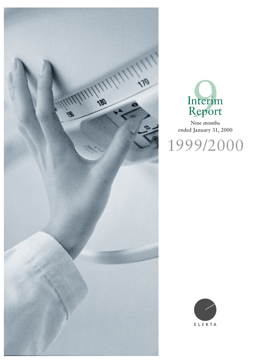



Nine months ended January 31, 2000



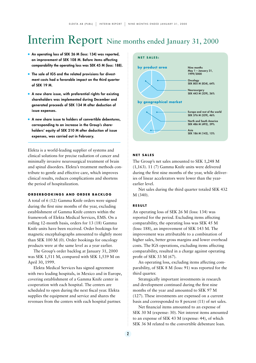# Interim Report Nine months ended January 31, 2000

- **An operating loss of SEK 26 M (loss: 134) was reported, an improvement of SEK 108 M. Before items affecting comparability the operating loss was SEK 45 M (loss: 188).**
- **•** The sale of IGS and the related provisions for divest**ment costs had a favorable impact on the third quarter of SEK 19 M.**
- **•** A new share issue, with preferential rights for existing **shareholders was implemented during December and generated proceeds of SEK 134 M after deduction of issue expenses.**
- **A** new share issue to holders of convertible debentures, **corresponding to an increase in the Group's shareholders' equity of SEK 210 M after deduction of issue expenses, was carried out in February.**

Elekta is a world-leading supplier of systems and clinical solutions for precise radiation of cancer and minimally invasive neurosurgical treatment of brain and spinal disorders. Elekta's treatment methods contribute to gentle and effective care, which improves clinical results, reduces complications and shortens the period of hospitalization.

### **ORDERBOOKINGS AND ORDER BACKLOG**

A total of 6 (12) Gamma Knife orders were signed during the first nine months of the year, excluding establishment of Gamma Knife centers within the framework of Elekta Medical Services, EMS. On a rolling 12-month basis, orders for 13 (18) Gamma Knife units have been received. Order bookings for magnetic encephalographs amounted to slightly more than SEK 100 M (0). Order bookings for oncology products were at the same level as a year earlier.

The Group's order backlog at January 31, 2000 was SEK 1,511 M, compared with SEK 1,539 M on April 30, 1999.

Elekta Medical Services has signed agreement with two leading hospitals, in Mexico and in Europe, covering establishment of a Gamma Knife center in cooperation with each hospital. The centers are scheduled to open during the next fiscal year. Elekta supplies the equipment and service and shares the revenues from the centers with each hospital partner.



#### **NET SALES**

The Group's net sales amounted to SEK 1,248 M (1,163). 11 (7) Gamma Knife units were delivered during the first nine months of the year, while deliveries of linear accelerators were lower than the yearearlier level.

Net sales during the third quarter totaled SEK 432 M (340).

#### **RESULT**

An operating loss of SEK 26 M (loss: 134) was reported for the period. Excluding items affecting comparability, the operating loss was SEK 45 M (loss: 188), an improvement of SEK 143 M. The improvement was attributable to a combination of higher sales, better gross margins and lower overhead costs. The IGS operations, excluding items affecting comparability, resulted in a charge against operating profit of SEK 33 M (67).

An operating loss, excluding items affecting comparability, of SEK 8 M (loss: 91) was reported for the third quarter.

Strategically important investments in research and development continued during the first nine months of the year and amounted to SEK 97 M (127). These investments are expensed on a current basis and corresponded to 8 percent (11) of net sales.

Net financial items amounted to an expense of SEK 30 M (expense: 30). Net interest items amounted to an expense of SEK 43 M (expense: 44), of which SEK 36 M related to the convertible debenture loan.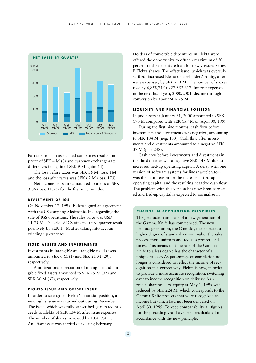

Participations in associated companies resulted in profit of SEK 4 M (0) and currency exchange-rate differences in a gain of SEK 9 M (gain: 14).

The loss before taxes was SEK 56 M (loss: 164) and the loss after taxes was SEK 62 M (loss: 173).

Net income per share amounted to a loss of SEK 3.86 (loss: 11.55) for the first nine months.

#### **DIVESTMENT OF IGS**

On November 17, 1999, Elekta signed an agreement with the US company Medtronic, Inc. regarding the sale of IGS operations. The sales price was USD 11.75 M. The sale of IGS affected third quarter result positively by SEK 19 M after taking into account winding up expenses.

#### **FIXED ASSETS AND INVESTMENTS**

Investments in intangible and tangible fixed assets amounted to SEK 0 M (1) and SEK 21 M (20), respectively.

Amortization/depreciation of intangible and tangible fixed assets amounted to SEK 25 M (35) and SEK 30 M (37), respectively.

#### **RIGHTS ISSUE AND OFFSET ISSUE**

In order to strengthen Elekta's financial position, a new rights issue was carried out during December. The issue, which was fully subscribed, generated proceeds to Elekta of SEK 134 M after issue expenses. The number of shares increased by 10,497,451. An offset issue was carried out during February.

Holders of convertible debentures in Elekta were offered the opportunity to offset a maximum of 50 percent of the debenture loan for newly issued Series B Elekta shares. The offset issue, which was oversubscribed, increased Elekta's shareholders' equity, after issue expenses, by SEK 210 M. The number of shares rose by 6,858,715 to 27,853,617. Interest expenses in the next fiscal year, 2000/2001, decline through conversion by about SEK 25 M.

#### **LIQUIDITY AND FINANCIAL POSITION**

Liquid assets at January 31, 2000 amounted to SEK 170 M compared with SEK 159 M on April 30, 1999.

During the first nine months, cash flow before investments and divestments was negative, amounting to SEK 104 M (neg: 133). Cash flow after investments and divestments amounted to a negative SEK 37 M (pos: 238).

Cash flow before investments and divestments in the third quarter was a negative SEK 148 M due to increased tied-up operating capital. A delay with one version of software systems for linear accelerators was the main reason for the increase in tied-up operating capital and the resulting negative cash flow. The problem with this version has now been corrected and tied-up capital is expected to normalize in

#### **CHANGE IN ACCOUNTING PRINCIPLES**

The production and sale of a new generation of the Gamma Knife has commenced. The new product generation, the C model, incorporates a higher degree of standardization, makes the sales process more uniform and reduces project leadtimes. This means that the sale of the Gamma Knife to a less degree has the character of a unique project. As percentage-of-completion no longer is considered to reflect the income of recognition in a correct way, Elekta is now, in order to provide a more accurate recognition, switching over to income recognition on delivery. As a result, shareholders' equity at May 1, 1999 was reduced by SEK 224 M, which corresponds to the Gamma Knife projects that were recognized as income but which had not been delivered on April 30, 1999. To keep comparability all figures for the preceding year have been recalculated in accordance with the new principle.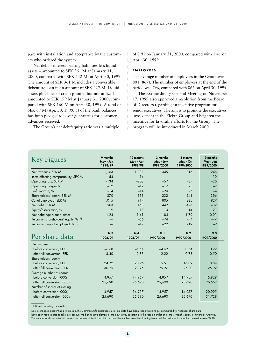pace with installation and acceptance by the customers who ordered the system.

Net debt – interest-bearing liabilities less liquid assets – amounted to SEK 361 M at January 31, 2000, compared with SEK 442 M on April 30, 1999. The amount of SEK 361 M includes a convertible debenture loan in an amount of SEK 427 M. Liquid assets plus lines of credit granted but not utilized amounted to SEK 199 M at January 31, 2000, compared with SEK 160 M on April 30, 1999. A total of SEK 67 M (Apr. 30, 1999: 5) of the bank balances has been pledged to cover guarantees for customer advances received.

The Group's net debt/equity ratio was a multiple

of 0.91 on January 31, 2000, compared with 1.41 on April 30, 1999.

#### **EMPLOYEES**

The average number of employees in the Group was 801 (867). The number of employees at the end of the period was 796, compared with 862 on April 30, 1999.

The Extraordinary General Meeting on November 17, 1999 also approved a resolution from the Board of Directors regarding an incentive program for senior executives. The aim is to promote the executives' involvement in the Elekta Group and heighten the incentive for favorable efforts for the Group. The program will be introduced in March 2000.

| <b>Key Figures</b>                                      | 9 months<br>May - Jan<br>1998/99 | 12 months<br>May - Apr<br>1998/99 | 3 months<br>May - July<br>1999/2000 | 6 months<br>May - Oct<br>1999/2000 | 9 months<br>May - Jan<br>1999/2000 |
|---------------------------------------------------------|----------------------------------|-----------------------------------|-------------------------------------|------------------------------------|------------------------------------|
| Net revenues, SEK M                                     | 1.163                            | 1.787                             | 345                                 | 816                                | 1,248                              |
| Items affecting comparability, SEK M                    | 54                               | 14                                |                                     |                                    | 19                                 |
| Operating loss, SEK M                                   | $-134$                           | $-208$                            | $-57$                               | $-37$                              | $-26$                              |
| Operating margin %                                      | $-12$                            | $-12$                             | $-17$                               | $-5$                               | $-2$                               |
| Profit margin, %                                        | $-14$                            | $-14$                             | $-20$                               | $-7$                               | $-4$                               |
| Shareholders' equity, SEK M                             | 370                              | 313                               | 232                                 | 241                                | 396                                |
| Caital employed, SEK M                                  | 1,015                            | 914                               | 805                                 | 835                                | 927                                |
| Net debt, SEK M                                         | 503                              | 458                               | 442                                 | 426                                | 432                                |
| Equity/assets ratio, %                                  | 19                               | 17                                | 13                                  | 14                                 | 21                                 |
| Net debt/equity ratio, times                            | 1.24                             | 1.41                              | 1.84                                | 1.79                               | 0.91                               |
| Return on shareholders' equity, % <sup>1)</sup>         |                                  | $-56$                             | $-74$                               | $-74$                              | $-47$                              |
| Return on capital employed, % 1)                        |                                  | $-17$                             | $-22$                               | $-19$                              | $-9$                               |
| Per share data                                          | Q <sub>3</sub><br>1998/99        | Q <sub>4</sub><br>1998/99         | Q <sub>1</sub><br>1999/2000         | Q <sub>2</sub><br>1999/2000        | Q <sub>3</sub><br>1999/2000        |
|                                                         |                                  |                                   |                                     |                                    |                                    |
| Net income                                              |                                  |                                   |                                     |                                    |                                    |
| before conversion, SEK                                  | $-6.68$                          | $-5.54$                           | $-4.62$                             | 0.54                               | 0.22                               |
| after full conversion, SEK                              | $-3.40$                          | $-2.83$                           | $-2.22$                             | 0.78                               | 0.50                               |
|                                                         |                                  |                                   |                                     |                                    |                                    |
| Shareholders' equity                                    | 24.72                            | 20.96                             | 15.51                               | 16.09                              | 18.84                              |
| before conversion, SEK<br>after full conversion, SEK    | 30.25                            | 28.25                             | 25.27                               | 25.80                              | 25.92                              |
| Average number of shares                                |                                  |                                   |                                     |                                    |                                    |
| before conversion (000s)                                | 14,957                           | 14,957                            | 14,957                              | 14,957                             | 15,829                             |
| after full conversion (000s)                            | 25,690                           | 25,690                            | 25,690                              | 25 6 90                            | 26,562                             |
|                                                         |                                  |                                   |                                     |                                    |                                    |
| Number of shares at closing<br>before conversion (000s) | 14,957                           | 14,957                            | 14,957                              | 14,957                             | 20,995                             |

1) Based on rolling 12 months.

Due to changed accounting principles in the Gamma Knife operations historical data have been recalculated to get comparability. Historical share data

have been recalculated to take into account the bonus issue element of the new issue, according to the recommendation of the Swedish Society of Financial Analysts. The number of shares after full conversion are calculated taking into account the number from the offsetting issue and the residulal loan to the conversion rate 60,20.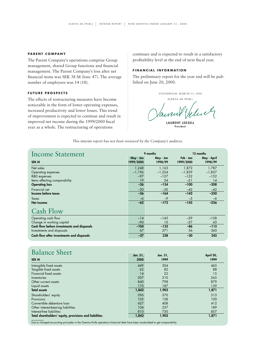#### **PARENT COMPANY**

The Parent Company's operations comprise Group management, shared Group functions and financial management. The Parent Company's loss after net financial items was SEK 38 M (loss: 47). The average number of employees was 14 (18).

# **FUTURE PROSPECTS**

The effects of restructuring measures have become noticeable in the form of lower operating expenses, increased productivity and lower losses. This trend of improvement is expected to continue and result in improved net income during the 1999/2000 fiscal year as a whole. The restructuring of operations

continues and is expected to result in a satisfactory profitability level at the end of next fiscal year.

# **FINANCIAL INFORMATION**

The preliminary report for the year end will be published on June 20, 2000.

STOCKHOLM, MARCH 15, 2000

ELEKTA AB (PUBL) wel **LAURENT LEKSELL**

**President**

*This interim report has not been reviewed by the Company's auditors.*

| <b>Income Statement</b>                    | 9 months               |                      | 12 months            |                        |
|--------------------------------------------|------------------------|----------------------|----------------------|------------------------|
| <b>SEK M</b>                               | May - Jan<br>1999/2000 | May - Jan<br>1998/99 | Feb Jan<br>1999/2000 | May - April<br>1998/99 |
| Net sales                                  | 1,248                  | 1,163                | 1.872                | 1,787                  |
| Operating expenses                         | $-1,196$               | $-1,224$             | $-1,829$             | $-1,857$               |
| R&D expenses                               | $-97$                  | $-127$               | $-122$               | $-152$                 |
| Items affecting comparability              | 19                     | 54                   | $-21$                | 14                     |
| <b>Operating loss</b>                      | $-26$                  | $-134$               | $-100$               | $-208$                 |
| Financial net                              | $-30$                  | $-30$                | $-42$                | $-42$                  |
| Income before taxes                        | $-56$                  | $-164$               | $-142$               | $-250$                 |
| Taxes                                      | -6                     | $-9$                 | $-3$                 | $-6$                   |
| <b>Net income</b>                          | $-62$                  | $-173$               | $-145$               | $-256$                 |
| <b>Cash Flow</b>                           |                        |                      |                      |                        |
| Operating cash flow                        | $-14$                  | $-143$               | $-29$                | $-158$                 |
| Change in working capital                  | $-90$                  | 10                   | $-57$                | 43                     |
| Cash flow before investments and disposals | $-104$                 | $-133$               | -86                  | $-115$                 |
| Investments and disposals                  | 67                     | 371                  | 56                   | 360                    |
| Cash flow after investments and disposals  | $-37$                  | 238                  | $-30$                | 245                    |

# **Balance Sheet**

| s alam o silo c<br><b>SEK M</b>                        | Jan. 31,<br>2000 | Jan. 31,<br>1999 | April 30,<br>1999 |
|--------------------------------------------------------|------------------|------------------|-------------------|
| Intangible fixed assets                                | 449              | 504              | 465               |
| Tangible fixed assets                                  | 62               | 82               | 88                |
| Financial fixed assets                                 | 14               | 22               | 15                |
| Inventories                                            | 307              | 310              | 265               |
| Other current assets                                   | 840              | 798              | 879               |
| Liquid assets                                          | 170              | 187              | 159               |
| <b>Total assets</b>                                    | 1,842            | 1,903            | 1,871             |
| Shareholders' equity                                   | 396              | 370              | 313               |
| Provisions                                             | 105              | 138              | 100               |
| Convertible debenture loan                             | 427              | 408              | 412               |
| Other interest-bearing liabilities                     | 104              | 237              | 189               |
| Interest-free liabilities                              | 810              | 750              | 857               |
| Total shareholders' equity, provisions and liabilities | 1,842            | 1,903            | 1,871             |

5 Due to changed accounting principles in the Gamma Knife operations historical data have been recalculated to get comparability.